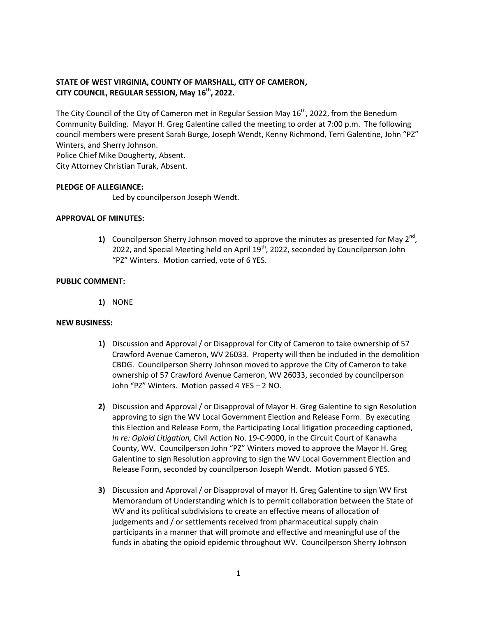# **STATE OF WEST VIRGINIA, COUNTY OF MARSHALL, CITY OF CAMERON, CITY COUNCIL, REGULAR SESSION, May 16th , 2022.**

The City Council of the City of Cameron met in Regular Session May  $16<sup>th</sup>$ , 2022, from the Benedum Community Building. Mayor H. Greg Galentine called the meeting to order at 7:00 p.m. The following council members were present Sarah Burge, Joseph Wendt, Kenny Richmond, Terri Galentine, John "PZ" Winters, and Sherry Johnson.

Police Chief Mike Dougherty, Absent. City Attorney Christian Turak, Absent.

#### **PLEDGE OF ALLEGIANCE:**

Led by councilperson Joseph Wendt.

#### **APPROVAL OF MINUTES:**

**1)** Councilperson Sherry Johnson moved to approve the minutes as presented for May  $2^{nd}$ , 2022, and Special Meeting held on April  $19<sup>th</sup>$ , 2022, seconded by Councilperson John "PZ" Winters. Motion carried, vote of 6 YES.

#### **PUBLIC COMMENT:**

**1)** NONE

#### **NEW BUSINESS:**

- **1)** Discussion and Approval / or Disapproval for City of Cameron to take ownership of 57 Crawford Avenue Cameron, WV 26033. Property will then be included in the demolition CBDG. Councilperson Sherry Johnson moved to approve the City of Cameron to take ownership of 57 Crawford Avenue Cameron, WV 26033, seconded by councilperson John "PZ" Winters. Motion passed 4 YES – 2 NO.
- **2)** Discussion and Approval / or Disapproval of Mayor H. Greg Galentine to sign Resolution approving to sign the WV Local Government Election and Release Form. By executing this Election and Release Form, the Participating Local litigation proceeding captioned, *In re: Opioid Litigation,* Civil Action No. 19-C-9000, in the Circuit Court of Kanawha County, WV. Councilperson John "PZ" Winters moved to approve the Mayor H. Greg Galentine to sign Resolution approving to sign the WV Local Government Election and Release Form, seconded by councilperson Joseph Wendt. Motion passed 6 YES.
- **3)** Discussion and Approval / or Disapproval of mayor H. Greg Galentine to sign WV first Memorandum of Understanding which is to permit collaboration between the State of WV and its political subdivisions to create an effective means of allocation of judgements and / or settlements received from pharmaceutical supply chain participants in a manner that will promote and effective and meaningful use of the funds in abating the opioid epidemic throughout WV. Councilperson Sherry Johnson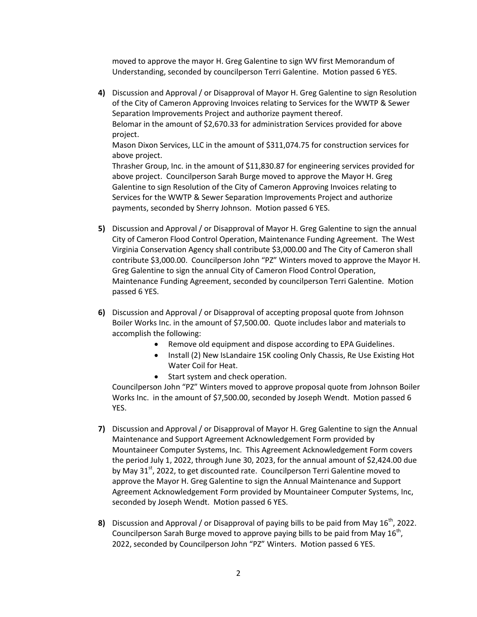moved to approve the mayor H. Greg Galentine to sign WV first Memorandum of Understanding, seconded by councilperson Terri Galentine. Motion passed 6 YES.

**4)** Discussion and Approval / or Disapproval of Mayor H. Greg Galentine to sign Resolution of the City of Cameron Approving Invoices relating to Services for the WWTP & Sewer Separation Improvements Project and authorize payment thereof. Belomar in the amount of \$2,670.33 for administration Services provided for above project.

Mason Dixon Services, LLC in the amount of \$311,074.75 for construction services for above project.

Thrasher Group, Inc. in the amount of \$11,830.87 for engineering services provided for above project. Councilperson Sarah Burge moved to approve the Mayor H. Greg Galentine to sign Resolution of the City of Cameron Approving Invoices relating to Services for the WWTP & Sewer Separation Improvements Project and authorize payments, seconded by Sherry Johnson. Motion passed 6 YES.

- **5)** Discussion and Approval / or Disapproval of Mayor H. Greg Galentine to sign the annual City of Cameron Flood Control Operation, Maintenance Funding Agreement. The West Virginia Conservation Agency shall contribute \$3,000.00 and The City of Cameron shall contribute \$3,000.00. Councilperson John "PZ" Winters moved to approve the Mayor H. Greg Galentine to sign the annual City of Cameron Flood Control Operation, Maintenance Funding Agreement, seconded by councilperson Terri Galentine. Motion passed 6 YES.
- **6)** Discussion and Approval / or Disapproval of accepting proposal quote from Johnson Boiler Works Inc. in the amount of \$7,500.00. Quote includes labor and materials to accomplish the following:
	- Remove old equipment and dispose according to EPA Guidelines.
	- Install (2) New IsLandaire 15K cooling Only Chassis, Re Use Existing Hot Water Coil for Heat.
	- Start system and check operation.

Councilperson John "PZ" Winters moved to approve proposal quote from Johnson Boiler Works Inc. in the amount of \$7,500.00, seconded by Joseph Wendt. Motion passed 6 YES.

- **7)** Discussion and Approval / or Disapproval of Mayor H. Greg Galentine to sign the Annual Maintenance and Support Agreement Acknowledgement Form provided by Mountaineer Computer Systems, Inc. This Agreement Acknowledgement Form covers the period July 1, 2022, through June 30, 2023, for the annual amount of \$2,424.00 due by May 31<sup>st</sup>, 2022, to get discounted rate. Councilperson Terri Galentine moved to approve the Mayor H. Greg Galentine to sign the Annual Maintenance and Support Agreement Acknowledgement Form provided by Mountaineer Computer Systems, Inc, seconded by Joseph Wendt. Motion passed 6 YES.
- 8) Discussion and Approval / or Disapproval of paying bills to be paid from May 16<sup>th</sup>, 2022. Councilperson Sarah Burge moved to approve paying bills to be paid from May 16<sup>th</sup>, 2022, seconded by Councilperson John "PZ" Winters. Motion passed 6 YES.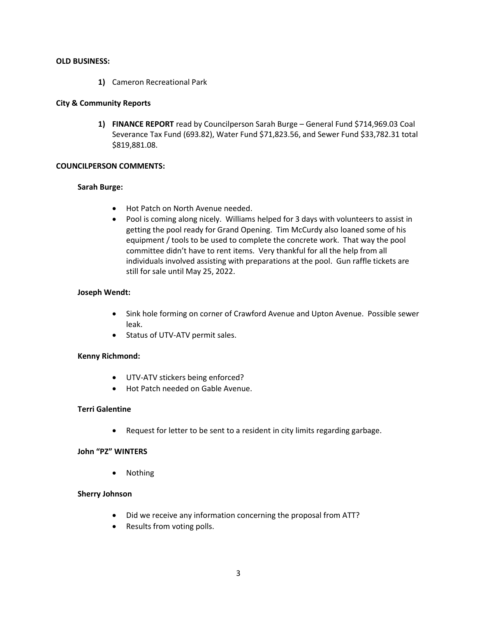#### **OLD BUSINESS:**

**1)** Cameron Recreational Park

# **City & Community Reports**

**1) FINANCE REPORT** read by Councilperson Sarah Burge – General Fund \$714,969.03 Coal Severance Tax Fund (693.82), Water Fund \$71,823.56, and Sewer Fund \$33,782.31 total \$819,881.08.

## **COUNCILPERSON COMMENTS:**

## **Sarah Burge:**

- Hot Patch on North Avenue needed.
- Pool is coming along nicely. Williams helped for 3 days with volunteers to assist in getting the pool ready for Grand Opening. Tim McCurdy also loaned some of his equipment / tools to be used to complete the concrete work. That way the pool committee didn't have to rent items. Very thankful for all the help from all individuals involved assisting with preparations at the pool. Gun raffle tickets are still for sale until May 25, 2022.

# **Joseph Wendt:**

- Sink hole forming on corner of Crawford Avenue and Upton Avenue. Possible sewer leak.
- Status of UTV-ATV permit sales.

## **Kenny Richmond:**

- UTV-ATV stickers being enforced?
- Hot Patch needed on Gable Avenue.

## **Terri Galentine**

Request for letter to be sent to a resident in city limits regarding garbage.

## **John "PZ" WINTERS**

Nothing

## **Sherry Johnson**

- Did we receive any information concerning the proposal from ATT?
- Results from voting polls.